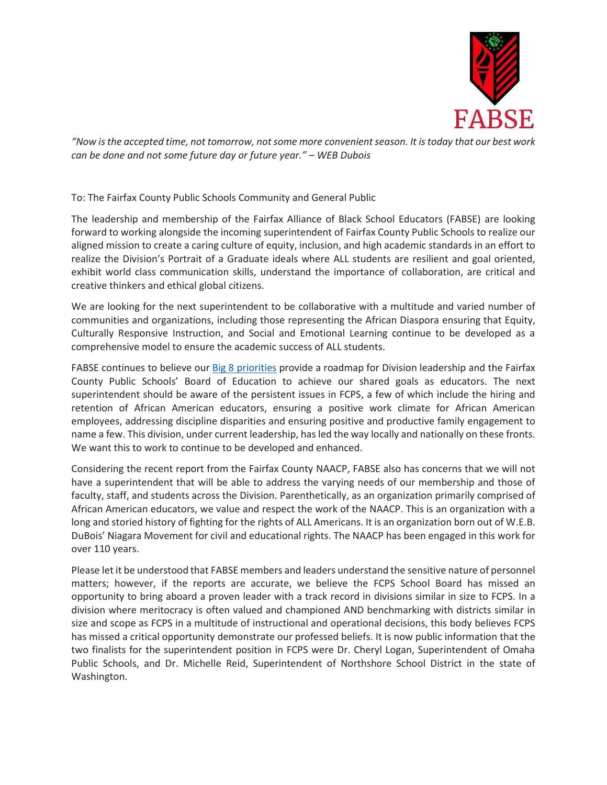

*"Now is the accepted time, not tomorrow, not some more convenient season. It is today that our best work can be done and not some future day or future year." – WEB Dubois*

To: The Fairfax County Public Schools Community and General Public

The leadership and membership of the Fairfax Alliance of Black School Educators (FABSE) are looking forward to working alongside the incoming superintendent of Fairfax County Public Schools to realize our aligned mission to create a caring culture of equity, inclusion, and high academic standards in an effort to realize the Division's Portrait of a Graduate ideals where ALL students are resilient and goal oriented, exhibit world class communication skills, understand the importance of collaboration, are critical and creative thinkers and ethical global citizens.

We are looking for the next superintendent to be collaborative with a multitude and varied number of communities and organizations, including those representing the African Diaspora ensuring that Equity, Culturally Responsive Instruction, and Social and Emotional Learning continue to be developed as a comprehensive model to ensure the academic success of ALL students.

FABSE continues to believe our [Big 8 priorities](https://fabse.wildapricot.org/Big-8-Priorities) provide a roadmap for Division leadership and the Fairfax County Public Schools' Board of Education to achieve our shared goals as educators. The next superintendent should be aware of the persistent issues in FCPS, a few of which include the hiring and retention of African American educators, ensuring a positive work climate for African American employees, addressing discipline disparities and ensuring positive and productive family engagement to name a few. This division, under current leadership, has led the way locally and nationally on these fronts. We want this to work to continue to be developed and enhanced.

Considering the recent report from the Fairfax County NAACP, FABSE also has concerns that we will not have a superintendent that will be able to address the varying needs of our membership and those of faculty, staff, and students across the Division. Parenthetically, as an organization primarily comprised of African American educators, we value and respect the work of the NAACP. This is an organization with a long and storied history of fighting for the rights of ALL Americans. It is an organization born out of W.E.B. DuBois' Niagara Movement for civil and educational rights. The NAACP has been engaged in this work for over 110 years.

Please let it be understood that FABSE members and leaders understand the sensitive nature of personnel matters; however, if the reports are accurate, we believe the FCPS School Board has missed an opportunity to bring aboard a proven leader with a track record in divisions similar in size to FCPS. In a division where meritocracy is often valued and championed AND benchmarking with districts similar in size and scope as FCPS in a multitude of instructional and operational decisions, this body believes FCPS has missed a critical opportunity demonstrate our professed beliefs. It is now public information that the two finalists for the superintendent position in FCPS were Dr. Cheryl Logan, Superintendent of Omaha Public Schools, and Dr. Michelle Reid, Superintendent of Northshore School District in the state of Washington.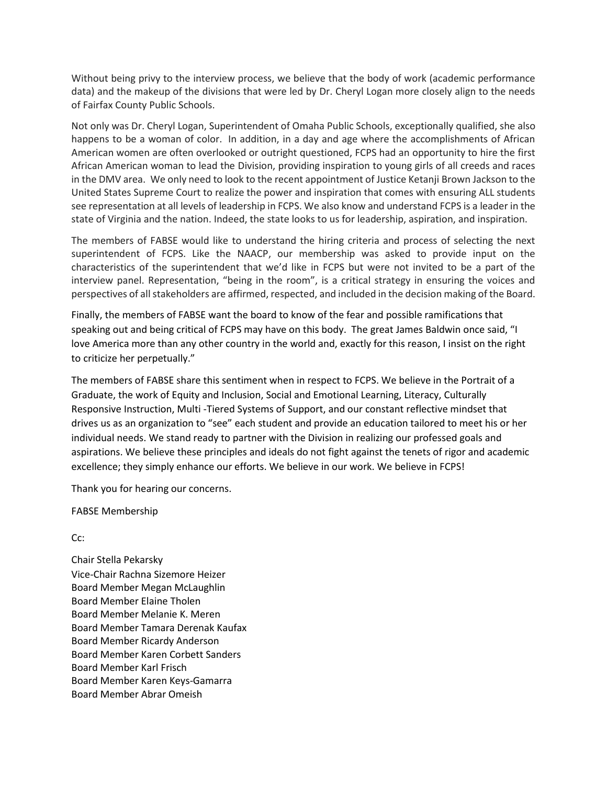Without being privy to the interview process, we believe that the body of work (academic performance data) and the makeup of the divisions that were led by Dr. Cheryl Logan more closely align to the needs of Fairfax County Public Schools.

Not only was Dr. Cheryl Logan, Superintendent of Omaha Public Schools, exceptionally qualified, she also happens to be a woman of color. In addition, in a day and age where the accomplishments of African American women are often overlooked or outright questioned, FCPS had an opportunity to hire the first African American woman to lead the Division, providing inspiration to young girls of all creeds and races in the DMV area. We only need to look to the recent appointment of Justice Ketanji Brown Jackson to the United States Supreme Court to realize the power and inspiration that comes with ensuring ALL students see representation at all levels of leadership in FCPS. We also know and understand FCPS is a leader in the state of Virginia and the nation. Indeed, the state looks to us for leadership, aspiration, and inspiration.

The members of FABSE would like to understand the hiring criteria and process of selecting the next superintendent of FCPS. Like the NAACP, our membership was asked to provide input on the characteristics of the superintendent that we'd like in FCPS but were not invited to be a part of the interview panel. Representation, "being in the room", is a critical strategy in ensuring the voices and perspectives of all stakeholders are affirmed, respected, and included in the decision making of the Board.

Finally, the members of FABSE want the board to know of the fear and possible ramifications that speaking out and being critical of FCPS may have on this body. The great James Baldwin once said, "I love America more than any other country in the world and, exactly for this reason, I insist on the right to criticize her perpetually."

The members of FABSE share this sentiment when in respect to FCPS. We believe in the Portrait of a Graduate, the work of Equity and Inclusion, Social and Emotional Learning, Literacy, Culturally Responsive Instruction, Multi -Tiered Systems of Support, and our constant reflective mindset that drives us as an organization to "see" each student and provide an education tailored to meet his or her individual needs. We stand ready to partner with the Division in realizing our professed goals and aspirations. We believe these principles and ideals do not fight against the tenets of rigor and academic excellence; they simply enhance our efforts. We believe in our work. We believe in FCPS!

Thank you for hearing our concerns.

FABSE Membership

Cc:

Chair Stella Pekarsky Vice-Chair Rachna Sizemore Heizer Board Member Megan McLaughlin Board Member Elaine Tholen Board Member Melanie K. Meren Board Member Tamara Derenak Kaufax Board Member Ricardy Anderson Board Member Karen Corbett Sanders Board Member Karl Frisch Board Member Karen Keys-Gamarra Board Member Abrar Omeish